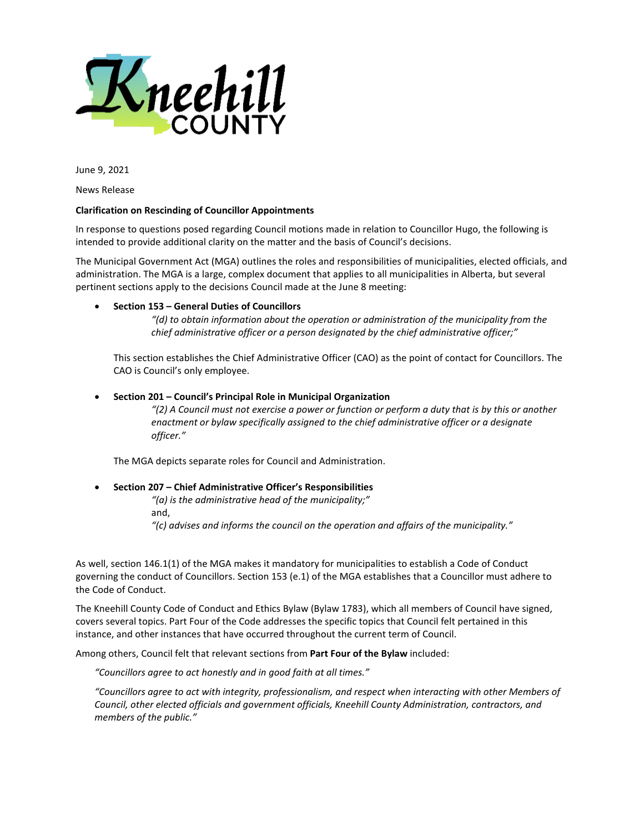

June 9, 2021

News Release

## **Clarification on Rescinding of Councillor Appointments**

In response to questions posed regarding Council motions made in relation to Councillor Hugo, the following is intended to provide additional clarity on the matter and the basis of Council's decisions.

The Municipal Government Act (MGA) outlines the roles and responsibilities of municipalities, elected officials, and administration. The MGA is a large, complex document that applies to all municipalities in Alberta, but several pertinent sections apply to the decisions Council made at the June 8 meeting:

## • **Section 153 – General Duties of Councillors**

*"(d) to obtain information about the operation or administration of the municipality from the chief administrative officer or a person designated by the chief administrative officer;"*

This section establishes the Chief Administrative Officer (CAO) as the point of contact for Councillors. The CAO is Council's only employee.

## • **Section 201 – Council's Principal Role in Municipal Organization**

*"(2) A Council must not exercise a power or function or perform a duty that is by this or another enactment or bylaw specifically assigned to the chief administrative officer or a designate officer."*

The MGA depicts separate roles for Council and Administration.

## • **Section 207 – Chief Administrative Officer's Responsibilities**

*"(a) is the administrative head of the municipality;"* and, *"(c) advises and informs the council on the operation and affairs of the municipality."*

As well, section 146.1(1) of the MGA makes it mandatory for municipalities to establish a Code of Conduct governing the conduct of Councillors. Section 153 (e.1) of the MGA establishes that a Councillor must adhere to the Code of Conduct.

The Kneehill County Code of Conduct and Ethics Bylaw (Bylaw 1783), which all members of Council have signed, covers several topics. Part Four of the Code addresses the specific topics that Council felt pertained in this instance, and other instances that have occurred throughout the current term of Council.

Among others, Council felt that relevant sections from **Part Four of the Bylaw** included:

*"Councillors agree to act honestly and in good faith at all times."*

*"Councillors agree to act with integrity, professionalism, and respect when interacting with other Members of Council, other elected officials and government officials, Kneehill County Administration, contractors, and members of the public."*